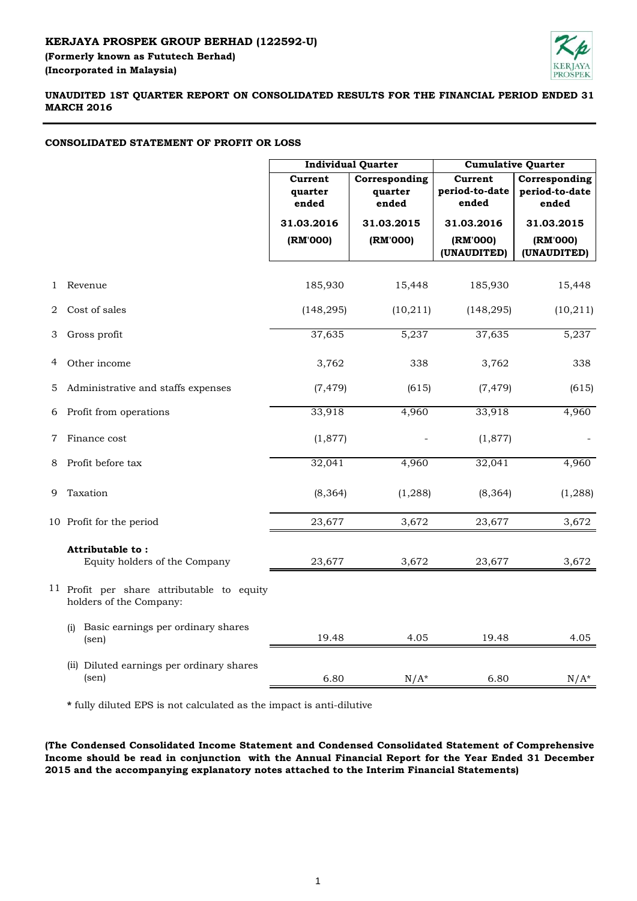## **KERJAYA PROSPEK GROUP BERHAD (122592-U)**

**(Incorporated in Malaysia) (Formerly known as Fututech Berhad)**



**UNAUDITED 1ST QUARTER REPORT ON CONSOLIDATED RESULTS FOR THE FINANCIAL PERIOD ENDED 31 MARCH 2016**

## **CONSOLIDATED STATEMENT OF PROFIT OR LOSS**

|   |                                                                       | <b>Individual Quarter</b>          |                                   | <b>Cumulative Quarter</b>          |                                          |
|---|-----------------------------------------------------------------------|------------------------------------|-----------------------------------|------------------------------------|------------------------------------------|
|   |                                                                       | <b>Current</b><br>quarter<br>ended | Corresponding<br>quarter<br>ended | Current<br>period-to-date<br>ended | Corresponding<br>period-to-date<br>ended |
|   |                                                                       | 31.03.2016                         | 31.03.2015                        | 31.03.2016                         | 31.03.2015                               |
|   |                                                                       | (RM'000)                           | (RM'000)                          | (RM'000)<br>(UNAUDITED)            | (RM'000)<br>(UNAUDITED)                  |
| 1 | Revenue                                                               | 185,930                            | 15,448                            | 185,930                            | 15,448                                   |
| 2 | Cost of sales                                                         | (148, 295)                         | (10, 211)                         | (148, 295)                         | (10, 211)                                |
| 3 | Gross profit                                                          | 37,635                             | 5,237                             | 37,635                             | 5,237                                    |
| 4 | Other income                                                          | 3,762                              | 338                               | 3,762                              | 338                                      |
| 5 | Administrative and staffs expenses                                    | (7, 479)                           | (615)                             | (7, 479)                           | (615)                                    |
| 6 | Profit from operations                                                | 33,918                             | 4,960                             | 33,918                             | 4,960                                    |
| 7 | Finance cost                                                          | (1,877)                            |                                   | (1,877)                            |                                          |
| 8 | Profit before tax                                                     | 32,041                             | 4,960                             | 32,041                             | 4,960                                    |
| 9 | Taxation                                                              | (8, 364)                           | (1, 288)                          | (8, 364)                           | (1, 288)                                 |
|   | 10 Profit for the period                                              | 23,677                             | 3,672                             | 23,677                             | 3,672                                    |
|   | Attributable to:<br>Equity holders of the Company                     | 23,677                             | 3,672                             | 23,677                             | 3,672                                    |
|   | 11 Profit per share attributable to equity<br>holders of the Company: |                                    |                                   |                                    |                                          |
|   | Basic earnings per ordinary shares<br>(i)<br>$(\text{sen})$           | 19.48                              | 4.05                              | 19.48                              | 4.05                                     |
|   | (ii) Diluted earnings per ordinary shares<br>$(\text{sen})$           | 6.80                               | $N/A^*$                           | 6.80                               | $N/A^*$                                  |

**\*** fully diluted EPS is not calculated as the impact is anti-dilutive

**(The Condensed Consolidated Income Statement and Condensed Consolidated Statement of Comprehensive Income should be read in conjunction with the Annual Financial Report for the Year Ended 31 December 2015 and the accompanying explanatory notes attached to the Interim Financial Statements)**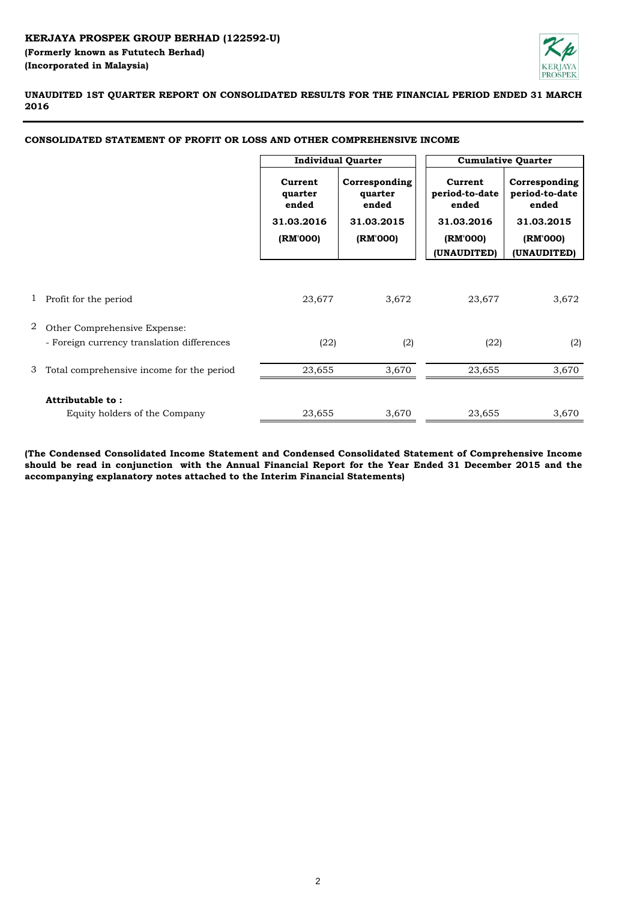

**UNAUDITED 1ST QUARTER REPORT ON CONSOLIDATED RESULTS FOR THE FINANCIAL PERIOD ENDED 31 MARCH 2016**

|   |                                            | <b>Individual Quarter</b>   |                                   | <b>Cumulative Quarter</b>          |                                          |
|---|--------------------------------------------|-----------------------------|-----------------------------------|------------------------------------|------------------------------------------|
|   |                                            | Current<br>quarter<br>ended | Corresponding<br>quarter<br>ended | Current<br>period-to-date<br>ended | Corresponding<br>period-to-date<br>ended |
|   |                                            | 31.03.2016                  | 31.03.2015                        | 31.03.2016                         | 31.03.2015                               |
|   |                                            | (RM'000)                    | (RM'000)                          | (RM'000)<br>(UNAUDITED)            | (RM'000)<br>(UNAUDITED)                  |
|   |                                            |                             |                                   |                                    |                                          |
| 1 | Profit for the period                      | 23,677                      | 3,672                             | 23,677                             | 3,672                                    |
| 2 | Other Comprehensive Expense:               |                             |                                   |                                    |                                          |
|   | - Foreign currency translation differences | (22)                        | (2)                               | (22)                               | (2)                                      |
| 3 | Total comprehensive income for the period  | 23,655                      | 3,670                             | 23,655                             | 3,670                                    |
|   | Attributable to:                           |                             |                                   |                                    |                                          |
|   | Equity holders of the Company              | 23,655                      | 3,670                             | 23,655                             | 3,670                                    |

**CONSOLIDATED STATEMENT OF PROFIT OR LOSS AND OTHER COMPREHENSIVE INCOME**

**(The Condensed Consolidated Income Statement and Condensed Consolidated Statement of Comprehensive Income** should be read in conjunction with the Annual Financial Report for the Year Ended 31 December 2015 and the **accompanying explanatory notes attached to the Interim Financial Statements)**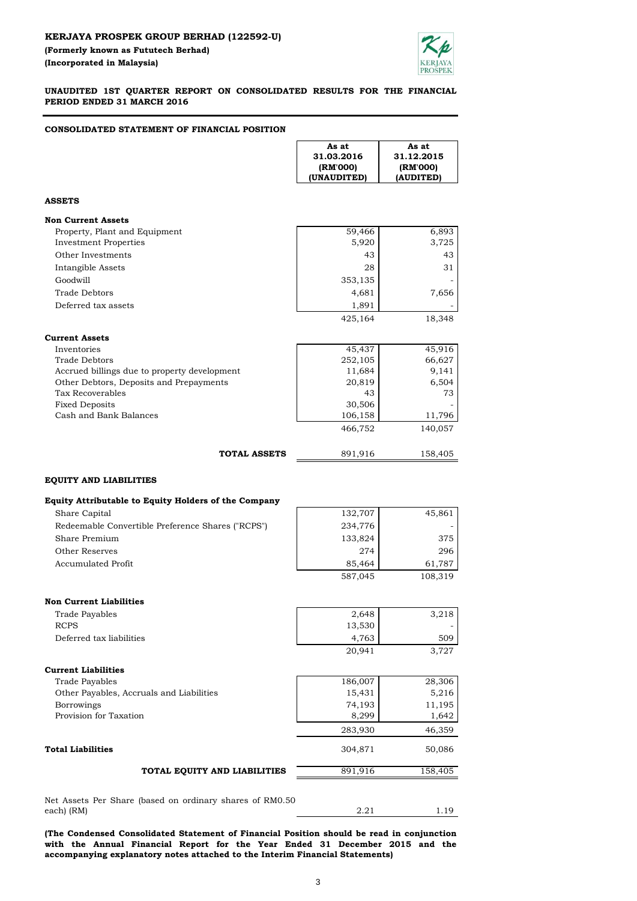

**UNAUDITED 1ST QUARTER REPORT ON CONSOLIDATED RESULTS FOR THE FINANCIAL PERIOD ENDED 31 MARCH 2016**

#### **CONSOLIDATED STATEMENT OF FINANCIAL POSITION**

| As at      | As at       |
|------------|-------------|
| 31.12.2015 | 31.03.2016  |
| (RM'000)   | (RM'000)    |
| (AUDITED)  | (UNAUDITED) |

#### **ASSETS**

| <b>Non Current Assets</b>     |         |        |
|-------------------------------|---------|--------|
| Property, Plant and Equipment | 59,466  | 6,893  |
| Investment Properties         | 5,920   | 3,725  |
| Other Investments             | 43      | 43     |
| Intangible Assets             | 28      | 31     |
| Goodwill                      | 353,135 |        |
| Trade Debtors                 | 4,681   | 7,656  |
| Deferred tax assets           | 1,891   |        |
|                               | 425,164 | 18.348 |

| Current Assets                               |         |         |
|----------------------------------------------|---------|---------|
| Inventories                                  | 45,437  | 45,916  |
| Trade Debtors                                | 252,105 | 66,627  |
| Accrued billings due to property development | 11,684  | 9,141   |
| Other Debtors, Deposits and Prepayments      | 20,819  | 6,504   |
| Tax Recoverables                             | 43      | 73      |
| <b>Fixed Deposits</b>                        | 30,506  |         |
| Cash and Bank Balances                       | 106,158 | 11,796  |
|                                              | 466,752 | 140,057 |
| <b>TOTAL ASSETS</b>                          | 891.916 | 158,405 |

#### **EQUITY AND LIABILITIES**

#### **Equity Attributable to Equity Holders of the Company**

| Share Capital                                     | 132,707 | 45,861  |
|---------------------------------------------------|---------|---------|
| Redeemable Convertible Preference Shares ("RCPS") | 234,776 |         |
| Share Premium                                     | 133,824 | 375     |
| Other Reserves                                    | 274     | 296     |
| Accumulated Profit                                | 85,464  | 61.787  |
|                                                   | 587.045 | 108.319 |

| <b>Non Current Liabilities</b>           |         |        |
|------------------------------------------|---------|--------|
| Trade Payables                           | 2,648   | 3,218  |
| <b>RCPS</b>                              | 13,530  |        |
| Deferred tax liabilities                 | 4,763   | 509    |
|                                          | 20,941  | 3,727  |
| <b>Current Liabilities</b>               |         |        |
| Trade Payables                           | 186,007 | 28,306 |
| Other Payables, Accruals and Liabilities | 15,431  | 5,216  |
| <b>Borrowings</b>                        | 74,193  | 11,195 |
| Provision for Taxation                   | 8,299   | 1,642  |
|                                          | 283,930 | 46.359 |

#### 304,871 50,086 891,916 158,405 **Total Liabilities TOTAL EQUITY AND LIABILITIES**

Net Assets Per Share (based on ordinary shares of RM0.50 each) (RM)

**(The Condensed Consolidated Statement of Financial Position should be read in conjunction with the Annual Financial Report for the Year Ended 31 December 2015 and the accompanying explanatory notes attached to the Interim Financial Statements)**

2.21 1.19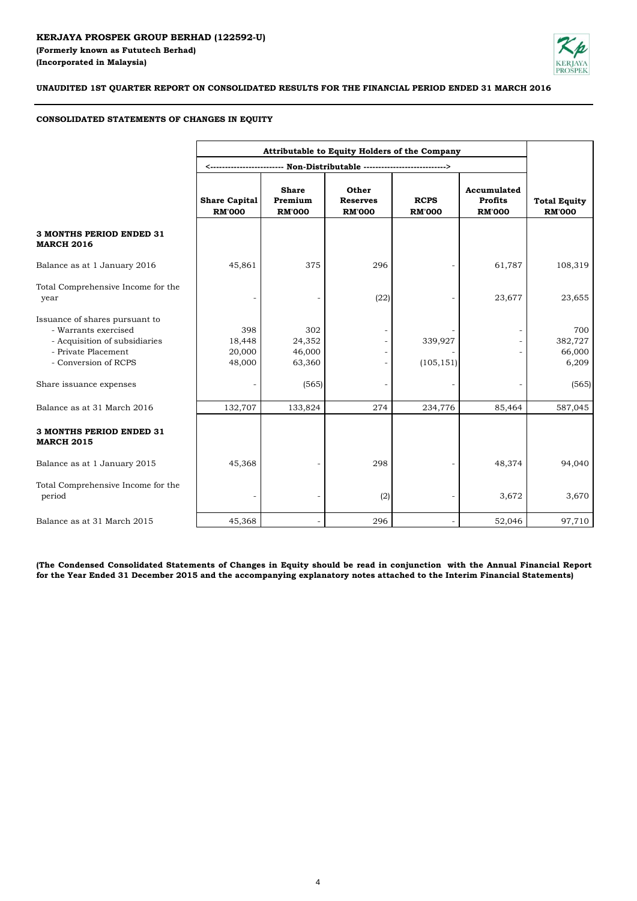

### **UNAUDITED 1ST QUARTER REPORT ON CONSOLIDATED RESULTS FOR THE FINANCIAL PERIOD ENDED 31 MARCH 2016**

#### **CONSOLIDATED STATEMENTS OF CHANGES IN EQUITY**

|                                                                                                                                        |                                       |                                          | Attributable to Equity Holders of the Company |                              |                                                |                                      |
|----------------------------------------------------------------------------------------------------------------------------------------|---------------------------------------|------------------------------------------|-----------------------------------------------|------------------------------|------------------------------------------------|--------------------------------------|
|                                                                                                                                        |                                       |                                          |                                               |                              |                                                |                                      |
|                                                                                                                                        | <b>Share Capital</b><br><b>RM'000</b> | <b>Share</b><br>Premium<br><b>RM'000</b> | Other<br><b>Reserves</b><br><b>RM'000</b>     | <b>RCPS</b><br><b>RM'000</b> | Accumulated<br><b>Profits</b><br><b>RM'000</b> | <b>Total Equity</b><br><b>RM'000</b> |
| <b>3 MONTHS PERIOD ENDED 31</b><br><b>MARCH 2016</b>                                                                                   |                                       |                                          |                                               |                              |                                                |                                      |
| Balance as at 1 January 2016                                                                                                           | 45,861                                | 375                                      | 296                                           |                              | 61,787                                         | 108,319                              |
| Total Comprehensive Income for the<br>year                                                                                             |                                       |                                          | (22)                                          |                              | 23,677                                         | 23,655                               |
| Issuance of shares pursuant to<br>- Warrants exercised<br>- Acquisition of subsidiaries<br>- Private Placement<br>- Conversion of RCPS | 398<br>18,448<br>20,000<br>48,000     | 302<br>24,352<br>46,000<br>63,360        |                                               | 339,927<br>(105, 151)        |                                                | 700<br>382,727<br>66,000<br>6,209    |
| Share issuance expenses                                                                                                                |                                       | (565)                                    |                                               |                              |                                                | (565)                                |
| Balance as at 31 March 2016                                                                                                            | 132,707                               | 133,824                                  | 274                                           | 234,776                      | 85,464                                         | 587,045                              |
| <b>3 MONTHS PERIOD ENDED 31</b><br><b>MARCH 2015</b>                                                                                   |                                       |                                          |                                               |                              |                                                |                                      |
| Balance as at 1 January 2015                                                                                                           | 45,368                                |                                          | 298                                           |                              | 48,374                                         | 94,040                               |
| Total Comprehensive Income for the<br>period                                                                                           |                                       |                                          | (2)                                           |                              | 3,672                                          | 3,670                                |
| Balance as at 31 March 2015                                                                                                            | 45,368                                |                                          | 296                                           |                              | 52,046                                         | 97,710                               |

(The Condensed Consolidated Statements of Changes in Equity should be read in conjunction with the Annual Financial Report **for the Year Ended 31 December 2015 and the accompanying explanatory notes attached to the Interim Financial Statements)**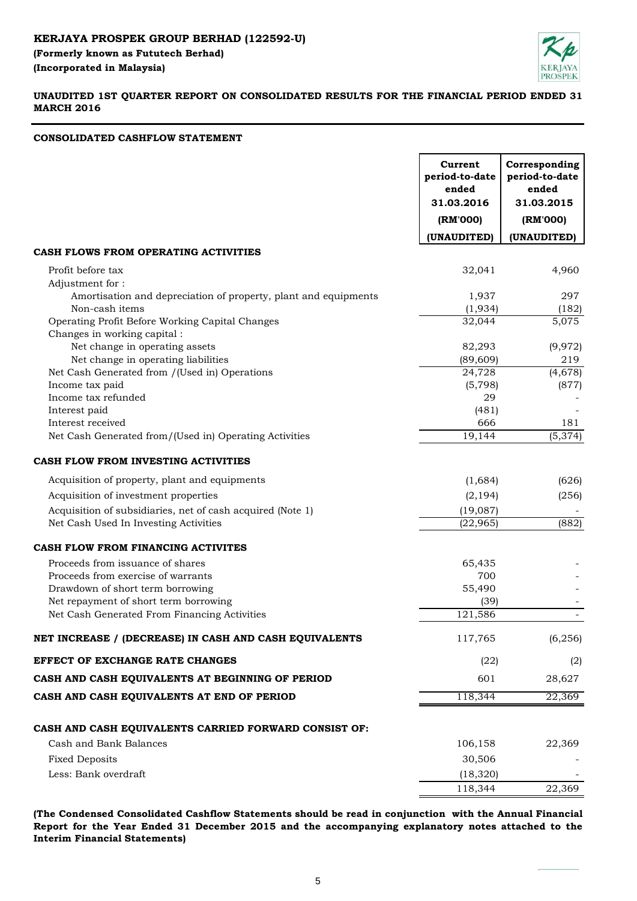

## **UNAUDITED 1ST QUARTER REPORT ON CONSOLIDATED RESULTS FOR THE FINANCIAL PERIOD ENDED 31 MARCH 2016**

## **CONSOLIDATED CASHFLOW STATEMENT**

|                                                                                   | Current<br>period-to-date<br>ended<br>31.03.2016 | Corresponding<br>period-to-date<br>ended<br>31.03.2015 |
|-----------------------------------------------------------------------------------|--------------------------------------------------|--------------------------------------------------------|
|                                                                                   | (RM'000)                                         | (RM'000)                                               |
|                                                                                   | (UNAUDITED)                                      | (UNAUDITED)                                            |
| CASH FLOWS FROM OPERATING ACTIVITIES                                              |                                                  |                                                        |
| Profit before tax<br>Adjustment for:                                              | 32,041                                           | 4,960                                                  |
| Amortisation and depreciation of property, plant and equipments<br>Non-cash items | 1,937<br>(1,934)                                 | 297<br>(182)                                           |
| Operating Profit Before Working Capital Changes                                   | 32,044                                           | 5,075                                                  |
| Changes in working capital :                                                      |                                                  |                                                        |
| Net change in operating assets                                                    | 82,293                                           | (9, 972)                                               |
| Net change in operating liabilities                                               | (89, 609)                                        | 219                                                    |
| Net Cash Generated from /(Used in) Operations                                     | 24,728                                           | (4,678)                                                |
| Income tax paid                                                                   | (5,798)                                          | (877)                                                  |
| Income tax refunded                                                               | 29                                               |                                                        |
| Interest paid<br>Interest received                                                | (481)<br>666                                     | 181                                                    |
| Net Cash Generated from/(Used in) Operating Activities                            | 19,144                                           | (5, 374)                                               |
|                                                                                   |                                                  |                                                        |
| <b>CASH FLOW FROM INVESTING ACTIVITIES</b>                                        |                                                  |                                                        |
| Acquisition of property, plant and equipments                                     | (1,684)                                          | (626)                                                  |
| Acquisition of investment properties                                              | (2, 194)                                         | (256)                                                  |
| Acquisition of subsidiaries, net of cash acquired (Note 1)                        | (19,087)                                         |                                                        |
| Net Cash Used In Investing Activities                                             | (22, 965)                                        | (882)                                                  |
| CASH FLOW FROM FINANCING ACTIVITES                                                |                                                  |                                                        |
| Proceeds from issuance of shares                                                  | 65,435                                           |                                                        |
| Proceeds from exercise of warrants                                                | 700                                              |                                                        |
| Drawdown of short term borrowing                                                  | 55,490                                           |                                                        |
| Net repayment of short term borrowing                                             | (39)                                             |                                                        |
| Net Cash Generated From Financing Activities                                      | 121,586                                          |                                                        |
| NET INCREASE / (DECREASE) IN CASH AND CASH EQUIVALENTS                            | 117,765                                          | (6, 256)                                               |
| EFFECT OF EXCHANGE RATE CHANGES                                                   | (22)                                             | (2)                                                    |
| CASH AND CASH EQUIVALENTS AT BEGINNING OF PERIOD                                  | 601                                              | 28,627                                                 |
| CASH AND CASH EQUIVALENTS AT END OF PERIOD                                        | 118,344                                          | 22,369                                                 |
| CASH AND CASH EQUIVALENTS CARRIED FORWARD CONSIST OF:                             |                                                  |                                                        |
| Cash and Bank Balances                                                            | 106,158                                          | 22,369                                                 |
| <b>Fixed Deposits</b>                                                             | 30,506                                           |                                                        |
| Less: Bank overdraft                                                              |                                                  |                                                        |
|                                                                                   | (18, 320)                                        |                                                        |
|                                                                                   | 118,344                                          | 22,369                                                 |

**(The Condensed Consolidated Cashflow Statements should be read in conjunction with the Annual Financial Report for the Year Ended 31 December 2015 and the accompanying explanatory notes attached to the Interim Financial Statements)**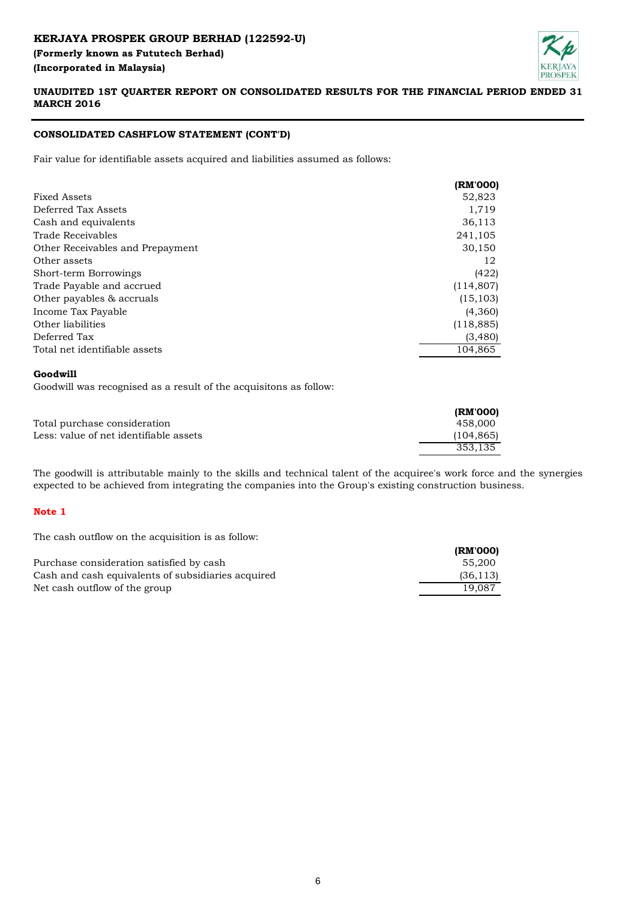# **KERJAYA PROSPEK GROUP BERHAD (122592-U) (Formerly known as Fututech Berhad) (Incorporated in Malaysia)**



## **UNAUDITED 1ST QUARTER REPORT ON CONSOLIDATED RESULTS FOR THE FINANCIAL PERIOD ENDED 31 MARCH 2016**

## **CONSOLIDATED CASHFLOW STATEMENT (CONT'D)**

Fair value for identifiable assets acquired and liabilities assumed as follows:

|                                  | (RM'000)   |
|----------------------------------|------------|
| <b>Fixed Assets</b>              | 52,823     |
| Deferred Tax Assets              | 1,719      |
| Cash and equivalents             | 36,113     |
| Trade Receivables                | 241,105    |
| Other Receivables and Prepayment | 30,150     |
| Other assets                     | 12         |
| Short-term Borrowings            | (422)      |
| Trade Payable and accrued        | (114, 807) |
| Other payables & accruals        | (15, 103)  |
| Income Tax Payable               | (4,360)    |
| Other liabilities                | (118, 885) |
| Deferred Tax                     | (3,480)    |
| Total net identifiable assets    | 104.865    |

#### **Goodwill**

Goodwill was recognised as a result of the acquisitons as follow:

|                                        | (RM'000)  |
|----------------------------------------|-----------|
| Total purchase consideration           | 458.000   |
| Less: value of net identifiable assets | (104.865) |
|                                        | 353.135   |

The goodwill is attributable mainly to the skills and technical talent of the acquiree's work force and the synergies expected to be achieved from integrating the companies into the Group's existing construction business.

## **Note 1**

The cash outflow on the acquisition is as follow:

|                                                    | (RM'000)  |
|----------------------------------------------------|-----------|
| Purchase consideration satisfied by cash           | 55.200    |
| Cash and cash equivalents of subsidiaries acquired | (36, 113) |
| Net cash outflow of the group                      | 19.087    |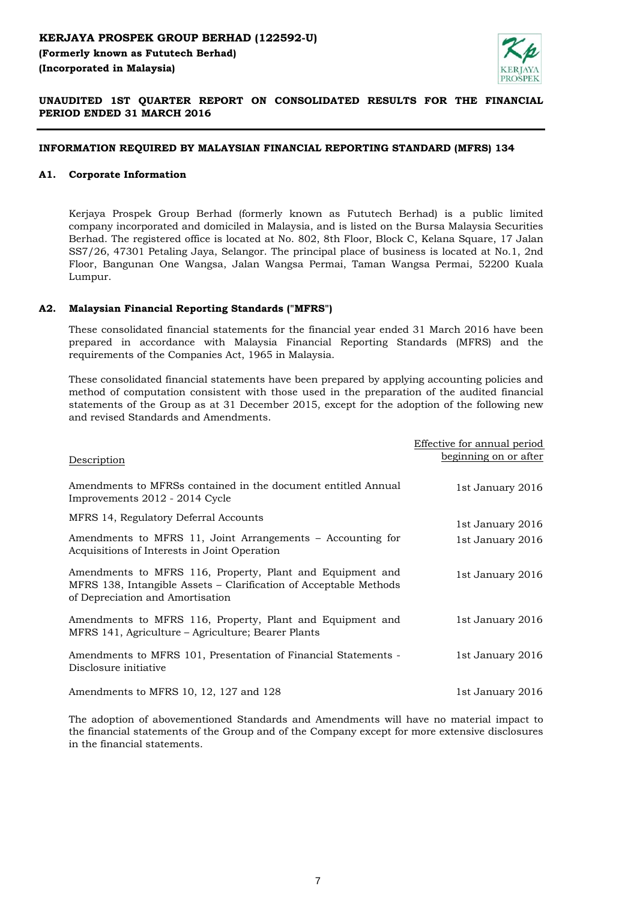

## **UNAUDITED 1ST QUARTER REPORT ON CONSOLIDATED RESULTS FOR THE FINANCIAL PERIOD ENDED 31 MARCH 2016**

### **INFORMATION REQUIRED BY MALAYSIAN FINANCIAL REPORTING STANDARD (MFRS) 134**

### **A1. Corporate Information**

Kerjaya Prospek Group Berhad (formerly known as Fututech Berhad) is a public limited company incorporated and domiciled in Malaysia, and is listed on the Bursa Malaysia Securities Berhad. The registered office is located at No. 802, 8th Floor, Block C, Kelana Square, 17 Jalan SS7/26, 47301 Petaling Jaya, Selangor. The principal place of business is located at No.1, 2nd Floor, Bangunan One Wangsa, Jalan Wangsa Permai, Taman Wangsa Permai, 52200 Kuala Lumpur.

#### **A2. Malaysian Financial Reporting Standards ("MFRS")**

These consolidated financial statements for the financial year ended 31 March 2016 have been prepared in accordance with Malaysia Financial Reporting Standards (MFRS) and the requirements of the Companies Act, 1965 in Malaysia.

These consolidated financial statements have been prepared by applying accounting policies and method of computation consistent with those used in the preparation of the audited financial statements of the Group as at 31 December 2015, except for the adoption of the following new and revised Standards and Amendments.

|                                                                                                                                                                    | Effective for annual period |
|--------------------------------------------------------------------------------------------------------------------------------------------------------------------|-----------------------------|
| Description                                                                                                                                                        | beginning on or after       |
| Amendments to MFRSs contained in the document entitled Annual<br>Improvements 2012 - 2014 Cycle                                                                    | 1st January 2016            |
| MFRS 14, Regulatory Deferral Accounts                                                                                                                              | 1st January 2016            |
| Amendments to MFRS 11, Joint Arrangements – Accounting for<br>Acquisitions of Interests in Joint Operation                                                         | 1st January 2016            |
| Amendments to MFRS 116, Property, Plant and Equipment and<br>MFRS 138, Intangible Assets – Clarification of Acceptable Methods<br>of Depreciation and Amortisation | 1st January 2016            |
| Amendments to MFRS 116, Property, Plant and Equipment and<br>MFRS 141, Agriculture – Agriculture; Bearer Plants                                                    | 1st January 2016            |
| Amendments to MFRS 101, Presentation of Financial Statements -<br>Disclosure initiative                                                                            | 1st January 2016            |
| Amendments to MFRS 10, 12, 127 and 128                                                                                                                             | 1st January 2016            |

The adoption of abovementioned Standards and Amendments will have no material impact to the financial statements of the Group and of the Company except for more extensive disclosures in the financial statements.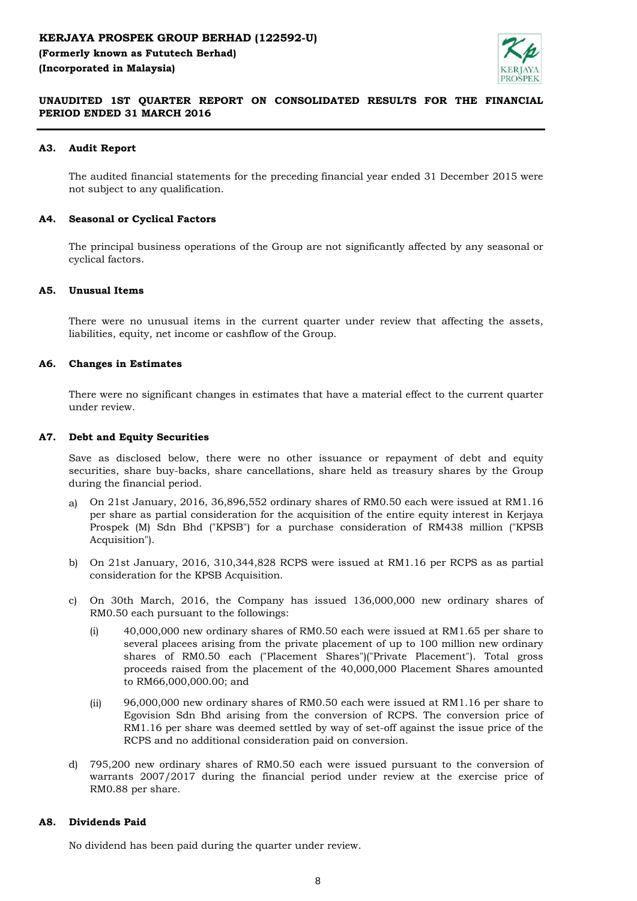

## **UNAUDITED 1ST QUARTER REPORT ON CONSOLIDATED RESULTS FOR THE FINANCIAL PERIOD ENDED 31 MARCH 2016**

### **A3. Audit Report**

The audited financial statements for the preceding financial year ended 31 December 2015 were not subject to any qualification.

#### **A4. Seasonal or Cyclical Factors**

The principal business operations of the Group are not significantly affected by any seasonal or cyclical factors.

#### **A5. Unusual Items**

There were no unusual items in the current quarter under review that affecting the assets, liabilities, equity, net income or cashflow of the Group.

#### **A6. Changes in Estimates**

There were no significant changes in estimates that have a material effect to the current quarter under review.

### **A7. Debt and Equity Securities**

Save as disclosed below, there were no other issuance or repayment of debt and equity securities, share buy-backs, share cancellations, share held as treasury shares by the Group during the financial period.

- a) On 21st January, 2016, 36,896,552 ordinary shares of RM0.50 each were issued at RM1.16 per share as partial consideration for the acquisition of the entire equity interest in Kerjaya Prospek (M) Sdn Bhd ("KPSB") for a purchase consideration of RM438 million ("KPSB Acquisition").
- b) On 21st January, 2016, 310,344,828 RCPS were issued at RM1.16 per RCPS as as partial consideration for the KPSB Acquisition.
- c) On 30th March, 2016, the Company has issued 136,000,000 new ordinary shares of RM0.50 each pursuant to the followings:
	- (i) 40,000,000 new ordinary shares of RM0.50 each were issued at RM1.65 per share to several placees arising from the private placement of up to 100 million new ordinary shares of RM0.50 each ("Placement Shares")("Private Placement"). Total gross proceeds raised from the placement of the 40,000,000 Placement Shares amounted to RM66,000,000.00; and
	- (ii) 96,000,000 new ordinary shares of RM0.50 each were issued at RM1.16 per share to Egovision Sdn Bhd arising from the conversion of RCPS. The conversion price of RM1.16 per share was deemed settled by way of set-off against the issue price of the RCPS and no additional consideration paid on conversion.
- d) 795,200 new ordinary shares of RM0.50 each were issued pursuant to the conversion of warrants 2007/2017 during the financial period under review at the exercise price of RM0.88 per share.

#### **A8. Dividends Paid**

No dividend has been paid during the quarter under review.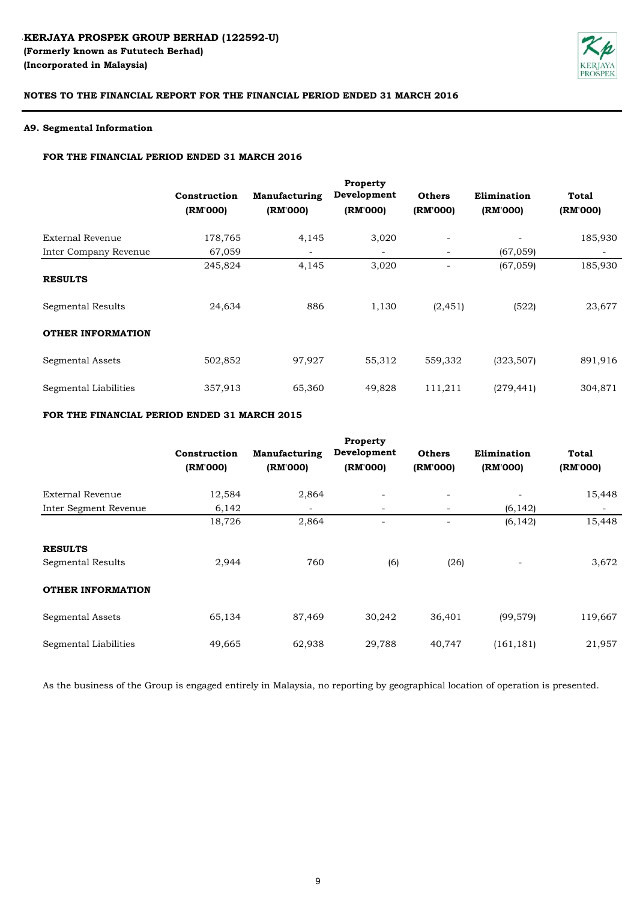

### **A9. Segmental Information**

#### **FOR THE FINANCIAL PERIOD ENDED 31 MARCH 2016**

|                          | Construction<br>(RM'000) | Manufacturing<br>(RM'000) | Property<br>Development<br>(RM'000) | <b>Others</b><br>(RM'000) | Elimination<br>(RM'000) | <b>Total</b><br>(RM'000) |
|--------------------------|--------------------------|---------------------------|-------------------------------------|---------------------------|-------------------------|--------------------------|
| External Revenue         | 178,765                  | 4,145                     | 3,020                               | $\overline{\phantom{a}}$  |                         | 185,930                  |
| Inter Company Revenue    | 67,059                   |                           | $\overline{\phantom{a}}$            | $\qquad \qquad$           | (67, 059)               |                          |
| <b>RESULTS</b>           | 245,824                  | 4,145                     | 3,020                               |                           | (67, 059)               | 185,930                  |
| Segmental Results        | 24,634                   | 886                       | 1,130                               | (2, 451)                  | (522)                   | 23,677                   |
| <b>OTHER INFORMATION</b> |                          |                           |                                     |                           |                         |                          |
| Segmental Assets         | 502,852                  | 97,927                    | 55,312                              | 559,332                   | (323, 507)              | 891,916                  |
| Segmental Liabilities    | 357,913                  | 65,360                    | 49,828                              | 111,211                   | (279, 441)              | 304,871                  |

## **FOR THE FINANCIAL PERIOD ENDED 31 MARCH 2015**

|                          |              |               | Property       |                          |             |              |
|--------------------------|--------------|---------------|----------------|--------------------------|-------------|--------------|
|                          | Construction | Manufacturing | Development    | <b>Others</b>            | Elimination | <b>Total</b> |
|                          | (RM'000)     | (RM'000)      | (RM'000)       | (RM'000)                 | (RM'000)    | (RM'000)     |
| External Revenue         | 12,584       | 2,864         | $\overline{a}$ | $\overline{\phantom{a}}$ |             | 15,448       |
| Inter Segment Revenue    | 6,142        |               |                | $\overline{\phantom{a}}$ | (6, 142)    |              |
|                          | 18,726       | 2,864         |                | $\overline{\phantom{a}}$ | (6, 142)    | 15,448       |
| <b>RESULTS</b>           |              |               |                |                          |             |              |
| Segmental Results        | 2,944        | 760           | (6)            | (26)                     |             | 3,672        |
| <b>OTHER INFORMATION</b> |              |               |                |                          |             |              |
| <b>Segmental Assets</b>  | 65,134       | 87,469        | 30,242         | 36,401                   | (99, 579)   | 119,667      |
| Segmental Liabilities    | 49,665       | 62,938        | 29,788         | 40,747                   | (161, 181)  | 21,957       |

As the business of the Group is engaged entirely in Malaysia, no reporting by geographical location of operation is presented.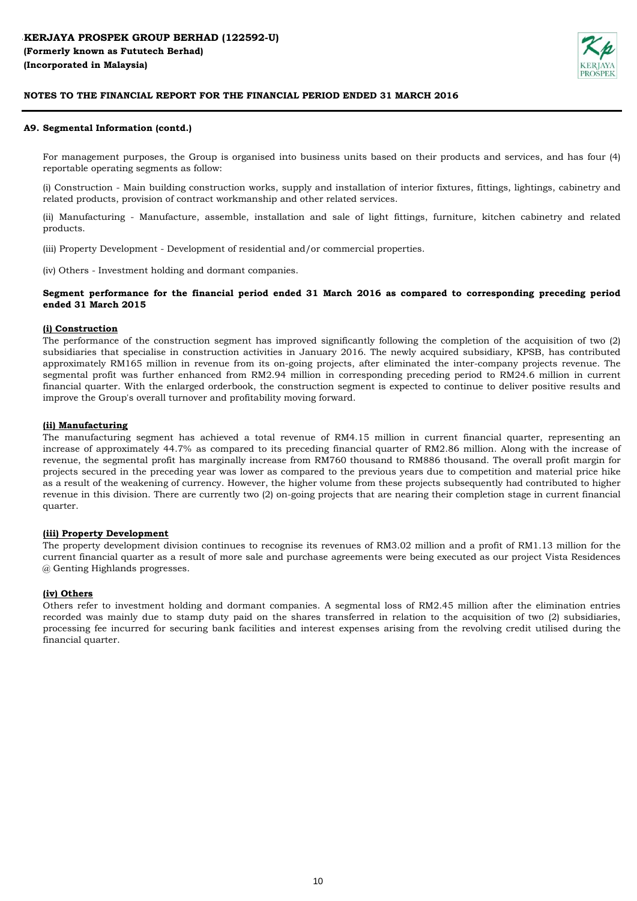

#### **A9. Segmental Information (contd.)**

For management purposes, the Group is organised into business units based on their products and services, and has four (4) reportable operating segments as follow:

(i) Construction - Main building construction works, supply and installation of interior fixtures, fittings, lightings, cabinetry and related products, provision of contract workmanship and other related services.

(ii) Manufacturing - Manufacture, assemble, installation and sale of light fittings, furniture, kitchen cabinetry and related products.

(iii) Property Development - Development of residential and/or commercial properties.

(iv) Others - Investment holding and dormant companies.

#### **Segment performance for the financial period ended 31 March 2016 as compared to corresponding preceding period ended 31 March 2015**

#### **(i) Construction**

The performance of the construction segment has improved significantly following the completion of the acquisition of two (2) subsidiaries that specialise in construction activities in January 2016. The newly acquired subsidiary, KPSB, has contributed approximately RM165 million in revenue from its on-going projects, after eliminated the inter-company projects revenue. The segmental profit was further enhanced from RM2.94 million in corresponding preceding period to RM24.6 million in current financial quarter. With the enlarged orderbook, the construction segment is expected to continue to deliver positive results and improve the Group's overall turnover and profitability moving forward.

#### **(ii) Manufacturing**

The manufacturing segment has achieved a total revenue of RM4.15 million in current financial quarter, representing an increase of approximately 44.7% as compared to its preceding financial quarter of RM2.86 million. Along with the increase of revenue, the segmental profit has marginally increase from RM760 thousand to RM886 thousand. The overall profit margin for projects secured in the preceding year was lower as compared to the previous years due to competition and material price hike as a result of the weakening of currency. However, the higher volume from these projects subsequently had contributed to higher revenue in this division. There are currently two (2) on-going projects that are nearing their completion stage in current financial quarter.

#### **(iii) Property Development**

The property development division continues to recognise its revenues of RM3.02 million and a profit of RM1.13 million for the current financial quarter as a result of more sale and purchase agreements were being executed as our project Vista Residences @ Genting Highlands progresses.

#### **(iv) Others**

Others refer to investment holding and dormant companies. A segmental loss of RM2.45 million after the elimination entries recorded was mainly due to stamp duty paid on the shares transferred in relation to the acquisition of two (2) subsidiaries, processing fee incurred for securing bank facilities and interest expenses arising from the revolving credit utilised during the financial quarter.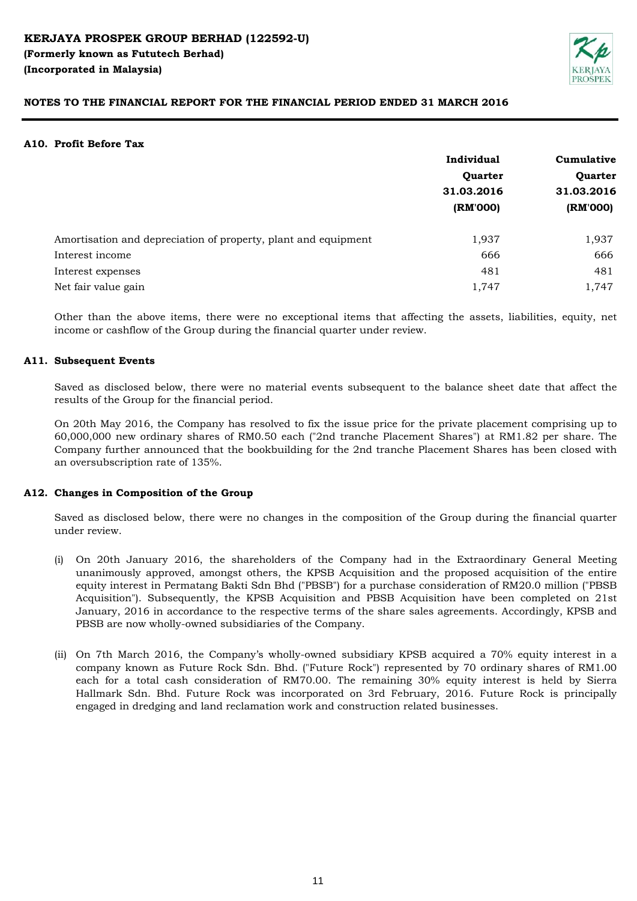

#### **A10. Profit Before Tax**

|                                                                | Individual             | Cumulative |  |
|----------------------------------------------------------------|------------------------|------------|--|
|                                                                | Quarter                | Quarter    |  |
|                                                                | 31.03.2016<br>(RM'000) | 31.03.2016 |  |
|                                                                |                        | (RM'000)   |  |
| Amortisation and depreciation of property, plant and equipment | 1,937                  | 1,937      |  |
| Interest income                                                | 666                    | 666        |  |
| Interest expenses                                              | 481                    | 481        |  |
| Net fair value gain                                            | 1,747                  | 1,747      |  |

Other than the above items, there were no exceptional items that affecting the assets, liabilities, equity, net income or cashflow of the Group during the financial quarter under review.

## **A11. Subsequent Events**

Saved as disclosed below, there were no material events subsequent to the balance sheet date that affect the results of the Group for the financial period.

On 20th May 2016, the Company has resolved to fix the issue price for the private placement comprising up to 60,000,000 new ordinary shares of RM0.50 each ("2nd tranche Placement Shares") at RM1.82 per share. The Company further announced that the bookbuilding for the 2nd tranche Placement Shares has been closed with an oversubscription rate of 135%.

## **A12. Changes in Composition of the Group**

Saved as disclosed below, there were no changes in the composition of the Group during the financial quarter under review.

- (i) On 20th January 2016, the shareholders of the Company had in the Extraordinary General Meeting unanimously approved, amongst others, the KPSB Acquisition and the proposed acquisition of the entire equity interest in Permatang Bakti Sdn Bhd ("PBSB") for a purchase consideration of RM20.0 million ("PBSB Acquisition"). Subsequently, the KPSB Acquisition and PBSB Acquisition have been completed on 21st January, 2016 in accordance to the respective terms of the share sales agreements. Accordingly, KPSB and PBSB are now wholly-owned subsidiaries of the Company.
- (ii) On 7th March 2016, the Company's wholly-owned subsidiary KPSB acquired a 70% equity interest in a company known as Future Rock Sdn. Bhd. ("Future Rock") represented by 70 ordinary shares of RM1.00 each for a total cash consideration of RM70.00. The remaining 30% equity interest is held by Sierra Hallmark Sdn. Bhd. Future Rock was incorporated on 3rd February, 2016. Future Rock is principally engaged in dredging and land reclamation work and construction related businesses.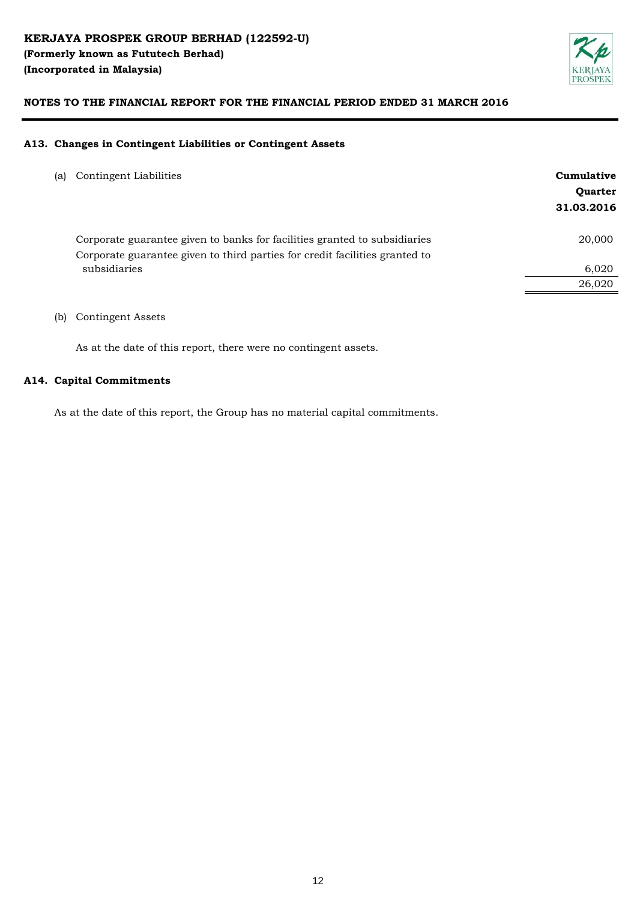

### **A13. Changes in Contingent Liabilities or Contingent Assets**

| (a) | Contingent Liabilities                                                                                                                                   | Cumulative<br><b>Ouarter</b><br>31.03.2016 |
|-----|----------------------------------------------------------------------------------------------------------------------------------------------------------|--------------------------------------------|
|     | Corporate guarantee given to banks for facilities granted to subsidiaries<br>Corporate guarantee given to third parties for credit facilities granted to | 20,000                                     |
|     | subsidiaries                                                                                                                                             | 6,020                                      |
|     |                                                                                                                                                          | 26,020                                     |
|     |                                                                                                                                                          |                                            |

## (b) Contingent Assets

As at the date of this report, there were no contingent assets.

### **A14. Capital Commitments**

As at the date of this report, the Group has no material capital commitments.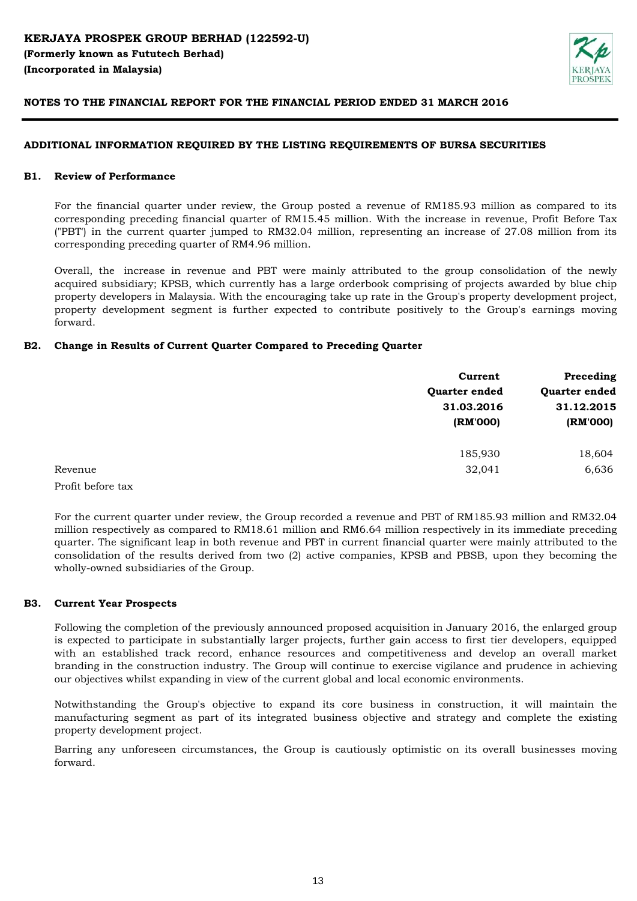

### **ADDITIONAL INFORMATION REQUIRED BY THE LISTING REQUIREMENTS OF BURSA SECURITIES**

#### **B1. Review of Performance**

For the financial quarter under review, the Group posted a revenue of RM185.93 million as compared to its corresponding preceding financial quarter of RM15.45 million. With the increase in revenue, Profit Before Tax ("PBT') in the current quarter jumped to RM32.04 million, representing an increase of 27.08 million from its corresponding preceding quarter of RM4.96 million.

Overall, the increase in revenue and PBT were mainly attributed to the group consolidation of the newly acquired subsidiary; KPSB, which currently has a large orderbook comprising of projects awarded by blue chip property developers in Malaysia. With the encouraging take up rate in the Group's property development project, property development segment is further expected to contribute positively to the Group's earnings moving forward.

### **B2. Change in Results of Current Quarter Compared to Preceding Quarter**

|         | Current       | Preceding<br>Quarter ended |  |
|---------|---------------|----------------------------|--|
|         | Quarter ended |                            |  |
|         | 31.03.2016    | 31.12.2015                 |  |
|         | (RM'000)      | (RM'000)                   |  |
|         | 185,930       | 18,604                     |  |
| Revenue | 32,041        | 6,636                      |  |

Profit before tax

For the current quarter under review, the Group recorded a revenue and PBT of RM185.93 million and RM32.04 million respectively as compared to RM18.61 million and RM6.64 million respectively in its immediate preceding quarter. The significant leap in both revenue and PBT in current financial quarter were mainly attributed to the consolidation of the results derived from two (2) active companies, KPSB and PBSB, upon they becoming the wholly-owned subsidiaries of the Group.

#### **B3. Current Year Prospects**

Following the completion of the previously announced proposed acquisition in January 2016, the enlarged group is expected to participate in substantially larger projects, further gain access to first tier developers, equipped with an established track record, enhance resources and competitiveness and develop an overall market branding in the construction industry. The Group will continue to exercise vigilance and prudence in achieving our objectives whilst expanding in view of the current global and local economic environments.

Notwithstanding the Group's objective to expand its core business in construction, it will maintain the manufacturing segment as part of its integrated business objective and strategy and complete the existing property development project.

Barring any unforeseen circumstances, the Group is cautiously optimistic on its overall businesses moving forward.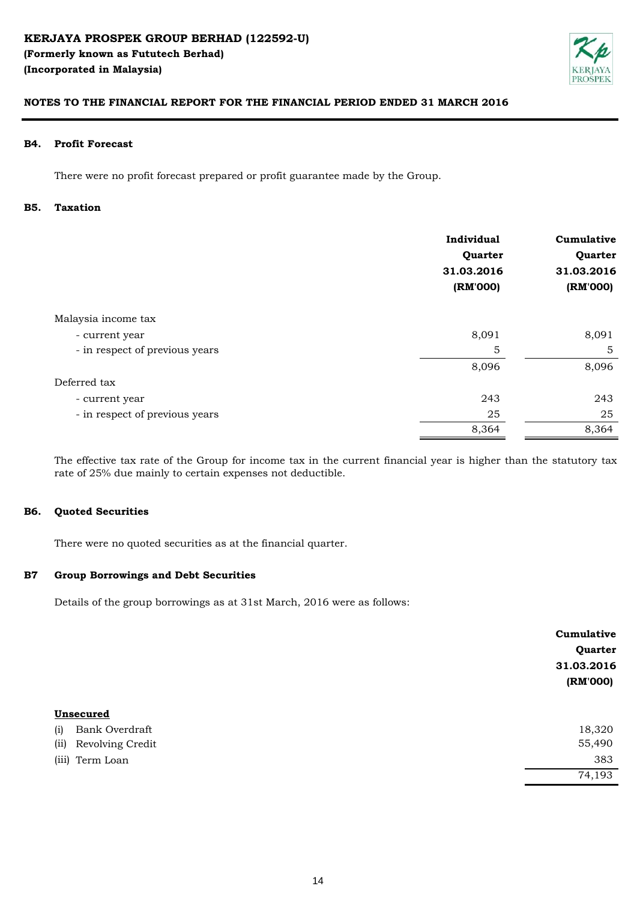

#### **B4. Profit Forecast**

There were no profit forecast prepared or profit guarantee made by the Group.

#### **B5. Taxation**

|                                | Individual<br>Quarter<br>31.03.2016<br>(RM'000) | Cumulative<br>Quarter<br>31.03.2016<br>(RM'000) |
|--------------------------------|-------------------------------------------------|-------------------------------------------------|
| Malaysia income tax            |                                                 |                                                 |
| - current year                 | 8,091                                           | 8,091                                           |
| - in respect of previous years | 5                                               | 5                                               |
|                                | 8,096                                           | 8,096                                           |
| Deferred tax                   |                                                 |                                                 |
| - current year                 | 243                                             | 243                                             |
| - in respect of previous years | 25                                              | 25                                              |
|                                | 8,364                                           | 8,364                                           |

The effective tax rate of the Group for income tax in the current financial year is higher than the statutory tax rate of 25% due mainly to certain expenses not deductible.

#### **B6. Quoted Securities**

There were no quoted securities as at the financial quarter.

#### **B7 Group Borrowings and Debt Securities**

Details of the group borrowings as at 31st March, 2016 were as follows:

|                          | Cumulative |
|--------------------------|------------|
|                          | Quarter    |
|                          | 31.03.2016 |
|                          | (RM'000)   |
|                          |            |
| Unsecured                |            |
| Bank Overdraft<br>(i)    | 18,320     |
| (ii)<br>Revolving Credit | 55,490     |
| (iii) Term Loan          | 383        |
|                          | 74,193     |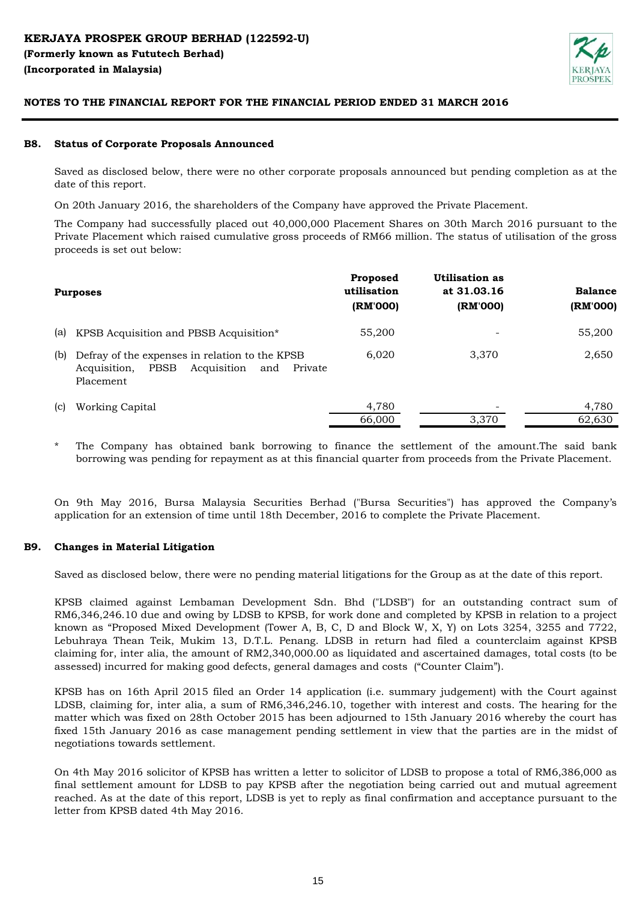

#### **B8. Status of Corporate Proposals Announced**

Saved as disclosed below, there were no other corporate proposals announced but pending completion as at the date of this report.

On 20th January 2016, the shareholders of the Company have approved the Private Placement.

The Company had successfully placed out 40,000,000 Placement Shares on 30th March 2016 pursuant to the Private Placement which raised cumulative gross proceeds of RM66 million. The status of utilisation of the gross proceeds is set out below:

|     | <b>Purposes</b>                                                                                                             | Proposed<br>utilisation<br>(RM'000) | Utilisation as<br>at 31.03.16<br>(RM'000) | <b>Balance</b><br>(RM'000) |
|-----|-----------------------------------------------------------------------------------------------------------------------------|-------------------------------------|-------------------------------------------|----------------------------|
| (a) | KPSB Acquisition and PBSB Acquisition*                                                                                      | 55,200                              |                                           | 55,200                     |
| (b) | Defray of the expenses in relation to the KPSB<br>Acquisition<br><b>PBSB</b><br>Acquisition,<br>Private<br>and<br>Placement | 6,020                               | 3.370                                     | 2,650                      |
| (c) | Working Capital                                                                                                             | 4,780<br>66,000                     | -<br>3.370                                | 4,780<br>62,630            |

\* The Company has obtained bank borrowing to finance the settlement of the amount.The said bank borrowing was pending for repayment as at this financial quarter from proceeds from the Private Placement.

On 9th May 2016, Bursa Malaysia Securities Berhad ("Bursa Securities") has approved the Company's application for an extension of time until 18th December, 2016 to complete the Private Placement.

#### **B9. Changes in Material Litigation**

Saved as disclosed below, there were no pending material litigations for the Group as at the date of this report.

KPSB claimed against Lembaman Development Sdn. Bhd ("LDSB") for an outstanding contract sum of RM6,346,246.10 due and owing by LDSB to KPSB, for work done and completed by KPSB in relation to a project known as "Proposed Mixed Development (Tower A, B, C, D and Block W, X, Y) on Lots 3254, 3255 and 7722, Lebuhraya Thean Teik, Mukim 13, D.T.L. Penang. LDSB in return had filed a counterclaim against KPSB claiming for, inter alia, the amount of RM2,340,000.00 as liquidated and ascertained damages, total costs (to be assessed) incurred for making good defects, general damages and costs ("Counter Claim").

KPSB has on 16th April 2015 filed an Order 14 application (i.e. summary judgement) with the Court against LDSB, claiming for, inter alia, a sum of RM6,346,246.10, together with interest and costs. The hearing for the matter which was fixed on 28th October 2015 has been adjourned to 15th January 2016 whereby the court has fixed 15th January 2016 as case management pending settlement in view that the parties are in the midst of negotiations towards settlement.

On 4th May 2016 solicitor of KPSB has written a letter to solicitor of LDSB to propose a total of RM6,386,000 as final settlement amount for LDSB to pay KPSB after the negotiation being carried out and mutual agreement reached. As at the date of this report, LDSB is yet to reply as final confirmation and acceptance pursuant to the letter from KPSB dated 4th May 2016.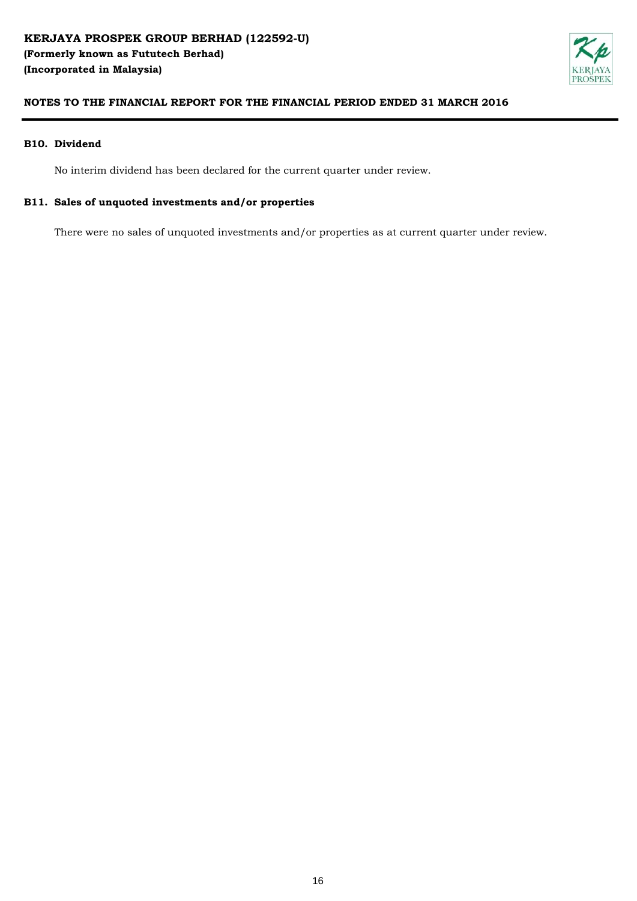

#### **B10. Dividend**

No interim dividend has been declared for the current quarter under review.

### **B11. Sales of unquoted investments and/or properties**

There were no sales of unquoted investments and/or properties as at current quarter under review.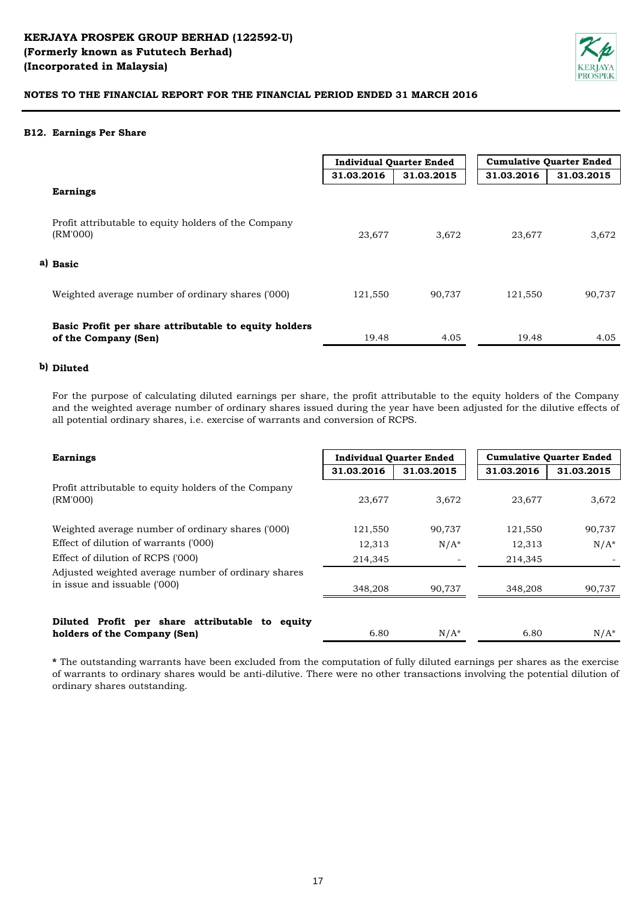

#### **B12. Earnings Per Share**

|                                                                               | <b>Individual Quarter Ended</b> |            | <b>Cumulative Quarter Ended</b> |            |
|-------------------------------------------------------------------------------|---------------------------------|------------|---------------------------------|------------|
|                                                                               | 31.03.2016                      | 31.03.2015 | 31.03.2016                      | 31.03.2015 |
| <b>Earnings</b>                                                               |                                 |            |                                 |            |
| Profit attributable to equity holders of the Company<br>(RM'000)              | 23,677                          | 3,672      | 23,677                          | 3,672      |
| a) Basic                                                                      |                                 |            |                                 |            |
| Weighted average number of ordinary shares ('000)                             | 121,550                         | 90,737     | 121,550                         | 90,737     |
| Basic Profit per share attributable to equity holders<br>of the Company (Sen) | 19.48                           | 4.05       | 19.48                           | 4.05       |

### **b) Diluted**

For the purpose of calculating diluted earnings per share, the profit attributable to the equity holders of the Company and the weighted average number of ordinary shares issued during the year have been adjusted for the dilutive effects of all potential ordinary shares, i.e. exercise of warrants and conversion of RCPS.

| <b>Earnings</b>                                                                     | <b>Individual Quarter Ended</b> |            | <b>Cumulative Quarter Ended</b> |            |
|-------------------------------------------------------------------------------------|---------------------------------|------------|---------------------------------|------------|
|                                                                                     | 31.03.2016                      | 31.03.2015 | 31.03.2016                      | 31.03.2015 |
| Profit attributable to equity holders of the Company<br>(RM'000)                    | 23,677                          | 3,672      | 23,677                          | 3,672      |
| Weighted average number of ordinary shares ('000)                                   | 121,550                         | 90,737     | 121,550                         | 90,737     |
| Effect of dilution of warrants ('000)                                               | 12,313                          | $N/A^*$    | 12,313                          | $N/A^*$    |
| Effect of dilution of RCPS ('000)                                                   | 214,345                         |            | 214,345                         |            |
| Adjusted weighted average number of ordinary shares<br>in issue and issuable ('000) | 348,208                         | 90.737     | 348,208                         | 90,737     |
| Diluted Profit per share attributable to equity<br>holders of the Company (Sen)     | 6.80                            | $N/A^*$    | 6.80                            | $N/A^*$    |

**\*** The outstanding warrants have been excluded from the computation of fully diluted earnings per shares as the exercise of warrants to ordinary shares would be anti-dilutive. There were no other transactions involving the potential dilution of ordinary shares outstanding.